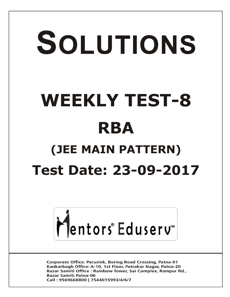# SOLUTIONS **WEEKLY TEST-8 RBA (JEE MAIN PATTERN) Test Date: 23-09-2017**



**Corporate Office: Paruslok, Boring Road Crossing, Patna-01** Kankarbagh Office: A-10, 1st Floor, Patrakar Nagar, Patna-20 Bazar Samiti Office: Rainbow Tower, Sai Complex, Rampur Rd., **Bazar Samiti Patna-06** Call: 9569668800 | 7544015993/4/6/7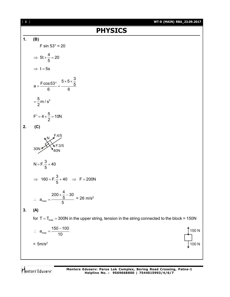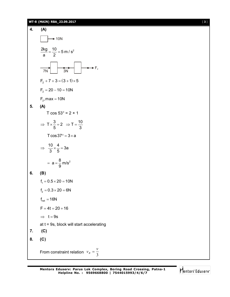# **WT-8 (MAIN) RBA\_23.09.2017** [ **3** ]

4. (A)  
\n
$$
\frac{2kg}{a} = \frac{10}{2} = 5 \text{ m/s}^2
$$
\n
$$
\frac{2kg}{7N} = \frac{10}{3N} = \frac{3 \text{ m/s}^2}{3 \text{ N}}
$$
\n
$$
F_2 + 7 + 3 = (3 + 1) \times 5
$$
\n
$$
F_2 = 20 - 10 = 10 \text{ N}
$$
\n
$$
F_2, \text{max} = 10 \text{ N}
$$
\n5. (A)  
\n
$$
T \cos 53^\circ = 2 \times 1
$$
\n
$$
\Rightarrow T \times \frac{3}{5} = 2 \Rightarrow T = \frac{10}{3}
$$
\n
$$
T \cos 37^\circ = 3 \times a
$$
\n
$$
\Rightarrow \frac{10}{3} \times \frac{4}{5} = 3a
$$
\n
$$
= a = \frac{8}{9} \text{ m/s}^2
$$
\n6. (B)  
\n
$$
f_1 = 0.5 \times 20 = 10 \text{ N}
$$
\n
$$
f_2 = 0.3 \times 20 = 6 \text{ N}
$$
\n
$$
f_{net} = 16 \text{ N}
$$
\n
$$
F = 4t = 20 + 16
$$
\n
$$
\Rightarrow t = 9s
$$
\n
$$
at = 9s, \text{ block will start accelerating}
$$
\n7. (C)  
\n8. (C)  
\nFrom constraint relation  $v_B = \frac{v}{3}$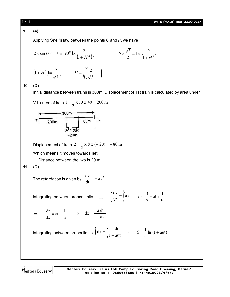# **9. (A)**

Applying Snell's law between the points *O* and *P*, we have

$$
2 \times \sin 60^{\circ} = (\sin 90^{\circ}) \times \frac{2}{(1 + H^2)}, \qquad 2 \times \frac{\sqrt{3}}{2} = 1 \times \frac{2}{(1 + H^2)}
$$

$$
(1 + H^2) = \frac{2}{\sqrt{3}}, \qquad H = \sqrt{\frac{2}{\sqrt{3}} - 1}
$$

# **10. (D)**

Initial distance between trains is 300m. Displacement of 1st train is calculated by area under

V-t. curve of train 
$$
1 = \frac{1}{2} \times 10 \times 40 = 200 \text{ m}
$$

$$
T_1
$$
 200m 80m  $T_2$   
300-280  
=20m 7

Displacement of train  $2 = \frac{1}{2} \times 8 \times (-20) = -80$  m 2  $2 = \frac{1}{2} \times 8 \times (-20) = -80 \text{ m}.$ 

Which means it moves towards left.

 $\therefore$  Distance between the two is 20 m.

# **11. (C)**

The retardation is given by 
$$
\frac{dv}{dt} = -av^2
$$

integrating between proper limits 
$$
\implies -\int_{u}^{v} \frac{dv}{v^2} = \int_{0}^{t} a dt
$$
 or  $\frac{1}{v} = at + \frac{1}{u}$ 

$$
\Rightarrow \quad \frac{dt}{dx} = at + \frac{1}{u} \quad \Rightarrow \quad dx = \frac{u \, dt}{1 + aut}
$$

integrating between proper limits 
$$
\int_{0}^{s} dx = \int_{0}^{t} \frac{u dt}{1 + aut} \implies S = \frac{1}{a} \ln (1 + aut)
$$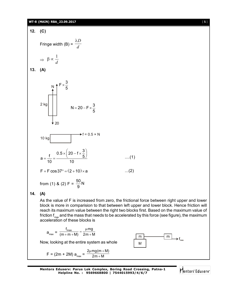#### **WT-8 (MAIN) RBA\_23.09.2017** [ **5** ]



# **14. (A)**

As the value of F is increased from zero, the frictional force between right upper and lower block is more in comparision to that between left upper and lower block. Hence friction will reach its maximum value between the right two blocks first. Based on the maximum value of friction f<sub>max</sub> and the mass that needs to be accelerated by this force (see figure), the maximum acceleration of these blocks is

$$
a_{max} = \frac{f_{max}}{(m+m+M)} = \frac{\mu mg}{2m+M}
$$

Now, looking at the entire system as whole

$$
F = (2m + 2M) a_{max} = \frac{2\mu mg(m + M)}{2m + M}
$$



**Mentors Eduserv: Parus Lok Complex, Boring Road Crossing, Patna-1 Helpline No. : 9569668800 | 7544015993/4/6/7**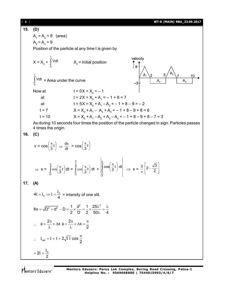[ **6** ] **WT-8 (MAIN) RBA\_23.09.2017 15. (D)**  $A_1 = A_3 = 8$  (area)  $A_2 = A_4 = 9$ Position of the particle at any time t is given by t velocity  $X_0$  = Initial position  $X = X_0 + \int$  $\int_{0}^{\infty} Vdt$   $X_0$ | 8 t Ì V<sup>dt</sup> = Area under the curve 0 Now at  $t = 0X = X_0 = -1$ at  $t = 2X = X_0 + A_1 = -1 + 8 = 7$ at  $t = 5X = X_0 + A_1 - A_2 = -1 + 8 - 9 = -2$ t = 7  $X = X_0 + A_1 - A_2 + A_3 = -1 + 8 - 9 + 8 = 6$ t = 10  $X = X_0 + A_1 - A_2 + A_3 - A_4 = -1 + 8 - 9 + 8 - 7 = 3$ As during 10 seconds four times the position of the particle changed in sign. Particles passes 4 times the origin. **16. (C)**  $\left(\frac{\pi}{3}t\right) \Rightarrow \frac{dx}{dt} = \cos\left(\frac{\pi}{3}t\right)$  $\left(\frac{\pi}{6}t\right)$  $\left(\frac{\pi}{3}t\right)$  $\left(\frac{\pi}{6}t\right)$  $v = \cos\left(\frac{\pi}{3}t\right)$  $\backslash$  $\backslash$ 3 2  $\left(\frac{\pi}{6}t\right)$ (π  $\int_{\alpha}^{2}$   $\pi$  $\mathbf{r}$  $\overline{\phantom{a}}$ 2  $2 - \frac{\sqrt{3}}{2}$  $\int_{3}$  cos $\left(\frac{\pi}{3}t\right)$ 3  $\cos\left(\frac{\pi}{2}t\right)dt + \int_{2}^{\infty} \cos\left(\frac{\pi}{3}t\right)dt$  $\left(\frac{\pi}{2}t\right)$  $\left(\frac{\pi}{2}t\right)$  $-\frac{1}{2}$  $\Rightarrow$  x =  $\int \cos \left( \frac{\pi}{3} t \right)$  $\int_{0}^{\infty} \cos \left( \frac{\pi}{3} t \right)$  $\mathbf{r}$  $\overline{\phantom{a}}$  $\cos\left(\frac{\pi}{3}t\right)dt = \int\limits_{0}^{\infty} \cos\left(\frac{\pi}{3}t\right)dt$  $\Rightarrow$  x =  $\frac{5}{\pi}$  $\backslash$ Ј L  $\overline{\phantom{a}}$  $\overline{\phantom{0}}$ J  $\overline{\phantom{0}}$ J L  $\frac{1}{2}$ 0 2 **17. (A)**  $I = I_0 \Rightarrow I = \frac{I_0}{4}$  = intarsity of one slit.  $4I = I_0 \Rightarrow I = \frac{I_0}{4}$  $8x = \sqrt{D^2 + d^2} - D \approx \frac{1}{2} \times \frac{d^2}{D} = \frac{1}{2} \times \frac{25\lambda^2}{583}$  $=\sqrt{D^2+d^2}$  – D  $\approx \frac{1}{2} \times \frac{d^2}{D} = \frac{1}{2} \times \frac{25\lambda^2}{5.2} = \frac{\lambda}{4}$  $\simeq$  $2$  D  $2$  50 $\lambda$  4 λ  $\phi = \frac{2\pi}{2} \times \Delta x$  $\phi = \frac{2\pi}{2} \times \Delta x = \frac{\pi}{2}$  $\frac{2\pi}{3} \times \Delta x$  $\therefore$  $\lambda$  $\lambda$ 2  $I_{\text{net}} = I + I + 2\sqrt{I} \overline{I} \cos \frac{\pi}{2}$  $\therefore I_{\text{net}} = I + I + 2\sqrt{I} I \cos \frac{\pi}{2}$  $=2I=\frac{I}{I}$  $2I = \frac{10}{2}$ 2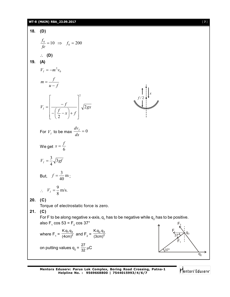# **WT-8 (MAIN) RBA\_23.09.2017** [ **7** ]

18. (D)  
\n
$$
\frac{f_0}{f e} = 10 \Rightarrow f_0 = 200
$$
\n
$$
\therefore
$$
 (D)  
\n19. (A)  
\n
$$
V_1 = -m^2 v_0
$$
\n
$$
m = \frac{f}{u - f}
$$
\n
$$
V_1 = \left[ \frac{-f}{-\left(\frac{f}{2} - x\right) + f} \right]^2 \sqrt{2gx}
$$
\nFor  $V_1$  to be max  $\frac{dv_1}{dx} = 0$   
\nWe get  $x = \frac{f}{6}$   
\n
$$
V_1 = \frac{3}{4} \sqrt{3gf}
$$
\nBut,  $f = \frac{3}{40} m$ ;  
\n
$$
\therefore V_1 = \frac{9}{8} m/s
$$
\n20. (C)  
\nTo're to be along negative x-axis,  $q_1$  has to be negative while  $q_2$  has to be positive.  
\nalso  $F_1$  cos 53 =  $F_2$  cos 37°  
\nwhere  $F_1 = \frac{Kq_1q_3}{(4cm)^2}$  and  $F_2 = \frac{Kq_2q_3}{(3cm)^2}$   
\n
$$
m \text{prime values } q_2 = \frac{27}{32} \mu C
$$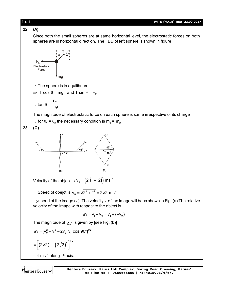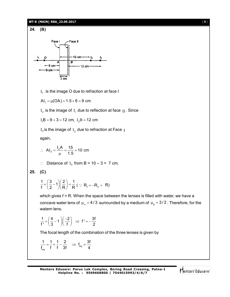#### **WT-8 (MAIN) RBA\_23.09.2017** [ **9** ]

# **24. (B)**



 ${\rm I}_1^{}$  is the image O due to refraction at face I

 $AI_1 = \mu(OA) = 1.5 \times 6 = 9$  cm

 $\text{I}_\text{2}$  is the image of  $\text{I}_\text{1}$  due to reflection at face  $\text{II}$  . Since

 $I_1B = 9 + 3 = 12$  cm,  $I_2B = 12$  cm

 ${\rm I}_3$  is the image of  ${\rm I}_2$  due to refraction at Face  $\rm\,I$ 

again,

$$
\therefore \text{ AI}_3 = \frac{I_2 A}{\mu} = \frac{15}{1.5} = 10 \text{ cm}
$$

 $\therefore$  Distance of I<sub>3</sub> from B = 10 – 3 = 7 cm.

$$
25. (C)
$$

$$
\frac{1}{f} = \left(\frac{3}{2} - 1\right)\left(\frac{2}{R}\right) = \frac{1}{R} \ (\because R_1 = -R_2 = R)
$$

which gives f = R. When the space between the lenses is filled with water, we have a concave water lens of  $\mu_{\omega} = 4/3$  surrounded by a medium of  $\mu_{g} = 3/2$ . Therefore, for the watern lens.

$$
\frac{1}{f'} = \left(\frac{4}{3} - 1\right)\left(\frac{-2}{f}\right) \Rightarrow f' = -\frac{3f}{2}
$$

The focal length of the combination of the three lenses is given by

$$
\frac{1}{f_{eq}} = \frac{1}{f} + \frac{1}{f} - \frac{2}{3f} \Rightarrow f_{eq} = \frac{3f}{4}
$$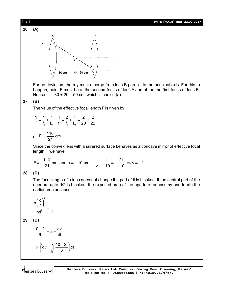



For no deviation, the ray must emerge from lens B parallel to the principal axis. For this to happen, point F must be at the second focus of lens A and at the the first focus of lens B. Hence  $d = 30 + 20 = 50$  cm, which is choice (a).

# **27. (B)**

The value of the effective focal length F is given by

$$
\left|\frac{1}{F}\right| = \frac{1}{f_1} + \frac{1}{f_m} + \frac{1}{f_1} = \frac{2}{f_1} + \frac{1}{f_m} = \frac{2}{20} + \frac{2}{22}
$$

or  $|F| = \frac{110}{24}$  cm 21  $=$ 

Since the convex lens with a silvered surface behaves as a concave mirror of effective focal length F, we have

$$
F = -\frac{110}{21}
$$
 cm and u = -10 cm  $\frac{1}{v} - \frac{1}{-10} = -\frac{21}{110} \Rightarrow v = -11$ 

### **28. (D)**

The focal length of a lens does not change if a part of it is blcoked. If the central part of the aperture upto d/2 is blocked, the exposed area of the aperture reduces by one-fourth the earlier area because

$$
\frac{\pi \bigg(\frac{d}{2}\bigg)^2}{n d^2} = \frac{1}{4}
$$

**29. (D)**

$$
\frac{10-2t}{6} = a = \frac{dv}{dt}
$$

$$
\Rightarrow \int_{0}^{0} dv = \int_{0}^{t} \left(\frac{10-2t}{6}\right) dt
$$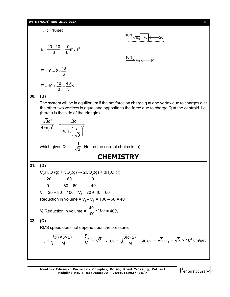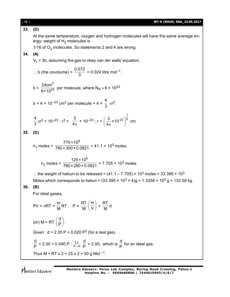| $[ 12 ]$                                                                 | WT-8 (MAIN) RBA_23.09.2017                                                                                                                                                                                     |  |  |  |  |  |
|--------------------------------------------------------------------------|----------------------------------------------------------------------------------------------------------------------------------------------------------------------------------------------------------------|--|--|--|--|--|
| 33.                                                                      | (D)                                                                                                                                                                                                            |  |  |  |  |  |
|                                                                          | At the same temperature, oxygen and hydrogen molecules will have the same average en-<br>ergy; weight of $H_2$ molecules is                                                                                    |  |  |  |  |  |
|                                                                          | 1/16 of $O2$ molecules. So statements 2 and 4 are wrong.                                                                                                                                                       |  |  |  |  |  |
| 34.                                                                      | (A)                                                                                                                                                                                                            |  |  |  |  |  |
|                                                                          | $V_c$ = 3b, assuming the gas to obey van der walls' equation.                                                                                                                                                  |  |  |  |  |  |
| ∴ b (the covolume) = $\frac{0.072}{3}$ = 0.024 litre mol <sup>-1</sup> . |                                                                                                                                                                                                                |  |  |  |  |  |
|                                                                          | b = $\frac{24 \text{cm}^3}{6 \times 10^{23}}$ per molecule, where N <sub>A</sub> $\approx$ 6 $\times$ 10 <sup>23</sup>                                                                                         |  |  |  |  |  |
|                                                                          | b = 4 x 10 <sup>-23</sup> cm <sup>3</sup> per molecule = 4 x $\frac{4}{3}$ $\pi r^3$ .                                                                                                                         |  |  |  |  |  |
|                                                                          | $\frac{4}{3}\pi r^3 = 10^{-23}$ ; $r^3 = \frac{3}{4\pi} \times 10^{-23}$ ; $r = \left(\frac{3}{4\pi} \times 10^{-23}\right)^{\frac{1}{3}}$ cm                                                                  |  |  |  |  |  |
| 35.                                                                      | (D)                                                                                                                                                                                                            |  |  |  |  |  |
|                                                                          | $n_1$ moles = $\frac{770 \times 10^6}{760 \times 300 \times 0.0821}$ = 41.1 × 10 <sup>3</sup> moles,                                                                                                           |  |  |  |  |  |
|                                                                          | $n_2$ moles = $\frac{125 \times 10^6}{760 \times 260 \times 0.0821}$ = 7.705 × 10 <sup>3</sup> moles                                                                                                           |  |  |  |  |  |
|                                                                          | : the weight of helium to be released = $(41.1 – 7.705) \times 10^3$ moles = 33.395 $\times 10^3$<br>Moles which corresponds to heliun = $(33.395 \times 10^3 \times 4)g = 1.3358 \times 10^5 g = 133.58 kg$ . |  |  |  |  |  |
| 36.                                                                      | (B)                                                                                                                                                                                                            |  |  |  |  |  |
|                                                                          | For ideal gases,                                                                                                                                                                                               |  |  |  |  |  |
|                                                                          | $PV = nRT = \frac{m}{M}RT$ : $P = \frac{RT}{M} \left(\frac{m}{V}\right) = \frac{RT}{M}d$                                                                                                                       |  |  |  |  |  |
|                                                                          | (or) $M = RT \left(\frac{d}{P}\right)$ .                                                                                                                                                                       |  |  |  |  |  |
|                                                                          | Given : $d = 2.00 P + 0.020 P^2$ (for a real gas).                                                                                                                                                             |  |  |  |  |  |
|                                                                          | $\frac{d}{d}$ = 2.00 + 0.040 P : $\frac{Lt}{d}$ = 2.00, which is $\frac{d}{d}$ for an ideal gas.                                                                                                               |  |  |  |  |  |
|                                                                          | Thus M = RT x 2 = 25 x 2 = 50 g Mol <sup>-1</sup> .                                                                                                                                                            |  |  |  |  |  |
|                                                                          |                                                                                                                                                                                                                |  |  |  |  |  |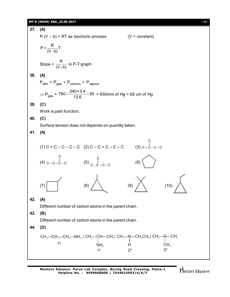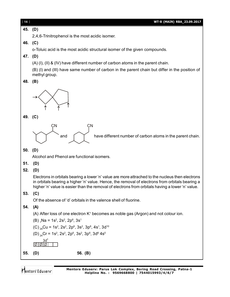| $[14]$  | WT-8 (MAIN) RBA_23.09.2017                                                                                                                                                                                                                                                                              |  |  |  |  |  |
|---------|---------------------------------------------------------------------------------------------------------------------------------------------------------------------------------------------------------------------------------------------------------------------------------------------------------|--|--|--|--|--|
| 45. (D) |                                                                                                                                                                                                                                                                                                         |  |  |  |  |  |
|         | 2,4,6-Trinitrophenol is the most acidic isomer.                                                                                                                                                                                                                                                         |  |  |  |  |  |
| 46. (C) |                                                                                                                                                                                                                                                                                                         |  |  |  |  |  |
|         | o-Toluic acid is the most acidic structural isomer of the given compounds.                                                                                                                                                                                                                              |  |  |  |  |  |
| 47.     | (D)                                                                                                                                                                                                                                                                                                     |  |  |  |  |  |
|         | (A) (I), (II) & (IV) have different number of carbon atoms in the parent chain.                                                                                                                                                                                                                         |  |  |  |  |  |
|         | (B) (I) and (III) have same number of carbon in the parent chain but differ in the position of<br>methyl group.                                                                                                                                                                                         |  |  |  |  |  |
| 48.     | (B)                                                                                                                                                                                                                                                                                                     |  |  |  |  |  |
|         |                                                                                                                                                                                                                                                                                                         |  |  |  |  |  |
| 49. (C) |                                                                                                                                                                                                                                                                                                         |  |  |  |  |  |
|         | СN<br>СN                                                                                                                                                                                                                                                                                                |  |  |  |  |  |
|         | have different number of carbon atoms in the parent chain.<br>and                                                                                                                                                                                                                                       |  |  |  |  |  |
| 50.     | (D)                                                                                                                                                                                                                                                                                                     |  |  |  |  |  |
|         | Alcohol and Phenol are functional isomers.                                                                                                                                                                                                                                                              |  |  |  |  |  |
| 51.     | (D)                                                                                                                                                                                                                                                                                                     |  |  |  |  |  |
| 52.     | (D)                                                                                                                                                                                                                                                                                                     |  |  |  |  |  |
|         | Electrons in orbitals bearing a lower 'n' value are more attrached to the nucleus then electrons<br>in orbitals bearing a higher 'n' value. Hence, the removal of electrons from orbitals bearing a<br>higher 'n' value is easier than the removal of electrons from orbitals having a lower 'n' value. |  |  |  |  |  |
| 53.     | (C)                                                                                                                                                                                                                                                                                                     |  |  |  |  |  |
|         | Of the absence of 'd' orbitals in the valence shell of fluorine.                                                                                                                                                                                                                                        |  |  |  |  |  |
| 54.     | (A)                                                                                                                                                                                                                                                                                                     |  |  |  |  |  |
|         | (A) After loss of one electron $K^+$ becomes as noble gas (Argon) and not colour ion.                                                                                                                                                                                                                   |  |  |  |  |  |
|         | $(B)$ Na = 1s <sup>2</sup> , 2s <sup>2</sup> , 2p <sup>6</sup> , 3s <sup>1</sup>                                                                                                                                                                                                                        |  |  |  |  |  |
|         | (C) $_{29}$ Cu = 1s <sup>2</sup> , 2s <sup>2</sup> , 2p <sup>6</sup> , 3s <sup>2</sup> , 3p <sup>6</sup> , 4s <sup>1</sup> , 3d <sup>10</sup>                                                                                                                                                           |  |  |  |  |  |
|         | (D) $_{24}$ Cr = 1s <sup>2</sup> , 2s <sup>2</sup> , 2p <sup>6</sup> , 3s <sup>2</sup> , 3p <sup>6</sup> , 3d <sup>6</sup> 4s <sup>0</sup>                                                                                                                                                              |  |  |  |  |  |
|         | 3d <sup>6</sup><br>ागागा                                                                                                                                                                                                                                                                                |  |  |  |  |  |
| 55.     | 56. (B)<br>(D)                                                                                                                                                                                                                                                                                          |  |  |  |  |  |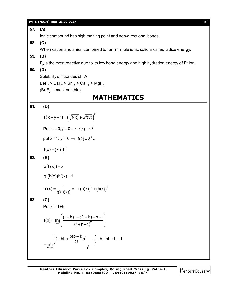| 57. | (A)                                                                                       |  |  |  |  |  |
|-----|-------------------------------------------------------------------------------------------|--|--|--|--|--|
|     |                                                                                           |  |  |  |  |  |
|     | lonic compound has high melting point and non-directional bonds.                          |  |  |  |  |  |
| 58. | (C)                                                                                       |  |  |  |  |  |
|     | When cation and anion combined to form 1 mole ionic solid is called lattice energy.       |  |  |  |  |  |
| 59. | (B)                                                                                       |  |  |  |  |  |
|     | $F_2$ is the most reactive due to its low bond energy and high hydration energy of F-ion. |  |  |  |  |  |
| 60. | (D)                                                                                       |  |  |  |  |  |
|     | Solubility of fluorides of IIA                                                            |  |  |  |  |  |
|     | $BeF2$ > BaF <sub>2</sub> > SrF <sub>2</sub> > CaF <sub>2</sub> > MgF <sub>2</sub>        |  |  |  |  |  |
|     | $(BeF2$ is most soluble)                                                                  |  |  |  |  |  |
|     | <b>MATHEMATICS</b>                                                                        |  |  |  |  |  |
| 61. | (D)                                                                                       |  |  |  |  |  |
|     | $f(x+y+1) = (\sqrt{f(x)} + \sqrt{f(y)})^2$                                                |  |  |  |  |  |
|     | Put $x = 0, y = 0 \implies f(1) = 2^2$                                                    |  |  |  |  |  |
|     | put x= 1, y = 0 $\Rightarrow$ f(2) = 3 <sup>2</sup>                                       |  |  |  |  |  |
|     | $f(x) = (x + 1)^2$                                                                        |  |  |  |  |  |
| 62. | (B)                                                                                       |  |  |  |  |  |
|     | $g(h(x)) = x$                                                                             |  |  |  |  |  |
|     | $g'(h(x))h'(x) = 1$                                                                       |  |  |  |  |  |
|     | h'(x) = $\frac{1}{g'(h(x))}$ = 1 + $(h(x))^2$ + $(h(x))^3$                                |  |  |  |  |  |
| 63. | (C)                                                                                       |  |  |  |  |  |
|     | Put $x = 1+h$                                                                             |  |  |  |  |  |
|     | $f(b) = \lim_{h \to 0} \left( \frac{(1+h)^{b} - b(1+h) + b - 1}{(1+h-1)^{2}} \right)$     |  |  |  |  |  |
|     | $=\lim_{h\to 0}\frac{\left(1+hb+\frac{b(b-1)}{2!}h^2+ \right)-b-bh+b-1}{h^2}$             |  |  |  |  |  |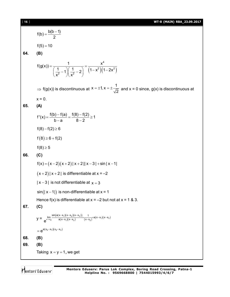## [ **16** ] **WT-8 (MAIN) RBA\_23.09.2017**

 $f(b) = \frac{b(b-1)}{2}$ 2  $=\frac{b(b-1)}{2}$  $f(5) = 10$ **64. (B)**  $(1-x^2)(1-2x^2)$ 4  $2)(1, 2)^2$ 2  $\vert\vert \sqrt{2} \vert$  $f(g(x)) = \frac{1}{(1 + x^2)^{1/2}} = \frac{x^2}{(1 + x^2)^{1/2}}$  $\left(\frac{1}{2}-1\right)\left(\frac{1}{2}-2\right)$   $\left(1-x^2\right)\left(1-2x\right)$  $=\frac{1}{\left(\frac{1}{x^2}-1\right)\left(\frac{1}{x^2}-2\right)}=\frac{1}{(1-x^2)(1-2)}$  $\Rightarrow$  f(g(x)) is discontinuous at  $x = \pm 1, x = \pm \frac{1}{6}$  $= \pm 1$ ,  $x = \pm \frac{1}{\sqrt{2}}$  and  $x = 0$  since, g(x) is discontinuous at  $x = 0$ . **65. (A)**  $f'(x) = \frac{f(b) - f(a)}{1} = \frac{f(8) - f(2)}{2} \ge 1$  $b-a$   $8-2$  $=\frac{f(b)-f(a)}{1}=\frac{f(8)-f(2)}{2} \geq$ -a 8-2  $f(8) - f(2) \ge 6$  $f(8) \ge 6 + f(2)$  $f(8) \ge 5$ **66. (C)**  $f(x) = (x-2)(x+2) |x+2||x-3| + \sin|x-1|$  $(x + 2) | x + 2 |$  is differentiable at  $x = -2$  $|x-3|$  is not differentiable at  $x = 3$  $sin(|x-1|)$  is non-differentiable at  $x = 1$ Hence  $f(x)$  is differentiable at  $x = -2$  but not at  $x = 1$  & 3. **67. (C)**  $y = \lim_{x \to x_2} \frac{\sin(a(x-x_1)(x-x_2)(x-x_3))}{a(x-x_1)(x-x_3)}$  $\lim_{x\to x_2}\frac{\sin((a(x-x_1)(x-x_2)(x-x_3))}{a(x-x_1)(x-x_3)}\times\frac{1}{(x-x_2)}\times a(x-x_1)(x-x_3)$  $e^{\lim_{x \to x_2} \frac{\sin(a(x-x_1)(x-x_2)(x-x_3))}{a(x-x_1)(x-x_3)} \times \frac{1}{(x-x_2)} \times a(x-x_1)(x-x_3)}$  $\frac{-x_1(x-x_2)(x-x_3)}{(x-x_1)(x-x_3)} \times \frac{1}{(x-x_2)} \times a(x-x_1)(x-x_2)$  $= e^{a(x_2-x_1)(x_2-x_3)}$ **68. (B) 69. (B)** Taking  $x = y = 1$ , we get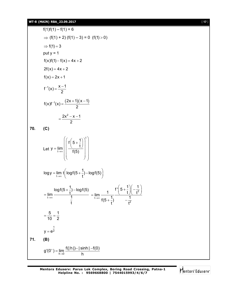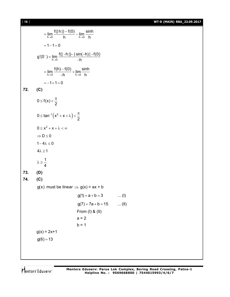[ **18** ] **WT-8 (MAIN) RBA\_23.09.2017**

$$
= \lim_{h\to 0} \frac{f(|h|)-f(0)}{h} - \lim_{h\to 0} \frac{\sinh}{h}
$$
  
\n= 1-1=0  
\ng'(0<sup>-</sup>) =  $\lim_{h\to 0} \frac{f(|-h|)-|\sin(-h)|-f(0)}{-h}$   
\n=  $\lim_{h\to 0} \frac{f(h)-f(0)}{-h} + \lim_{h\to 0} \frac{\sinh}{h}$   
\n= -1+1=0  
\n72. (C)  
\n0 ≤ f(x)  $\lt \frac{\pi}{2}$   
\n0 ≤ tan<sup>-1</sup>(x<sup>2</sup> + x + λ)  $\lt \frac{\pi}{2}$   
\n0 ≤ x<sup>2</sup> + x + λ  $\lt \infty$   
\n⇒ D ≤ 0  
\n1-4λ ≤ 0  
\n4λ ≥ 1  
\nλ ≥  $\frac{1}{4}$   
\n73. (D)  
\n74. (C)  
\ng(x) must be linear ⇒ g(x) = ax + b  
\ng(1) = a + b = 3 .... (I)  
\ng(7) = 7a + b = 15 .... (II)  
\nFrom (I) & (II)  
\na = 2  
\nb = 1  
\ng(x) = 2x+1  
\ng(6) = 13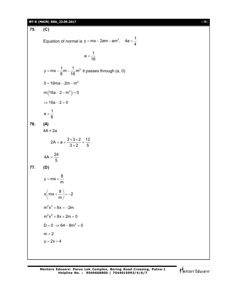#### **WT-8 (MAIN) RBA\_23.09.2017** [ **19** ]

**75. (C)** Equation of normal is y = mx – 2am – am<sup>3</sup>, 4a =  $\frac{1}{4}$ 4 = mx – 2am – am<sup>3</sup>, 4a =  $a = \frac{1}{12}$ 16  $=$  $y = mx - \frac{1}{6}m - \frac{1}{16}m^3$ 8 16 = mx –  $\frac{1}{6}$ m –  $\frac{1}{10}$ m<sup>3</sup> it passes through (a, 0) 0 = 16ma – 2m – m $^3$  $m(16a - 2 - m^2) = 0$  $\Rightarrow$  16a - 2 > 0  $a > \frac{1}{2}$ 8  $>$ **76. (A)**  $4A = 2a$  $2A = a = \frac{2 \times 3 \times 2}{2 \times 3} = \frac{12}{5}$  $3+2$  5  $=$ a  $=\frac{2\times3\times2}{2\times2}=$  $^{+}$  $4A = \frac{24}{5}$ 5  $=$ **77. (D)**  $y = mx + \frac{8}{3}$ m  $= mx +$  $x \left( mx + \frac{8}{m} \right) = -2$ m  $\left( mx + \frac{8}{m} \right) = -2$  $m^2x^2 + 8x = -2m$  $m^2x^2 + 8x + 2m = 0$  $D = 0 \Rightarrow 64 - 8m^3 = 0$  $m = 2$  $y = 2x + 4$ 

Mentors<sup>®</sup> Eduserv<sup>®</sup>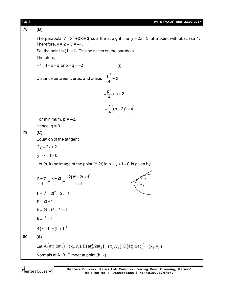| $[20]$                                                                                                                                                                                                          | WT-8 (MAIN) RBA_23.09.2017                                                                                                                |  |  |  |  |
|-----------------------------------------------------------------------------------------------------------------------------------------------------------------------------------------------------------------|-------------------------------------------------------------------------------------------------------------------------------------------|--|--|--|--|
| 78.                                                                                                                                                                                                             | (B)                                                                                                                                       |  |  |  |  |
| The parabola $y = x^2 + px + q$ cuts the straight line $y = 2x - 3$ at a point with abscissa 1.<br>Therefore, $y = 2 - 3 = -1$ .<br>So, the point is $(1, -1)$ . This point lies on the parabola.<br>Therefore, |                                                                                                                                           |  |  |  |  |
|                                                                                                                                                                                                                 | $-1=1+p+q$ or $p+q=-2$<br>(i)                                                                                                             |  |  |  |  |
|                                                                                                                                                                                                                 | Distance between vertex and x-axis = $\frac{p^2}{4} - q$                                                                                  |  |  |  |  |
|                                                                                                                                                                                                                 | $=\frac{p^2}{4}+p+2$                                                                                                                      |  |  |  |  |
|                                                                                                                                                                                                                 | $=\frac{1}{4}$ $\{(p+2)^2+4\}$                                                                                                            |  |  |  |  |
|                                                                                                                                                                                                                 | For minimum, $p = -2$ .                                                                                                                   |  |  |  |  |
|                                                                                                                                                                                                                 | Hence, $q = 0$ .                                                                                                                          |  |  |  |  |
| 79.                                                                                                                                                                                                             | (C)<br>Equation of the tangent                                                                                                            |  |  |  |  |
|                                                                                                                                                                                                                 | $2y = 2x + 2$                                                                                                                             |  |  |  |  |
|                                                                                                                                                                                                                 | $y - x - 1 = 0$                                                                                                                           |  |  |  |  |
|                                                                                                                                                                                                                 | Let (h, k) be image of the point ( $t^2$ , 2t) in $x - y + 1 = 0$ is given by                                                             |  |  |  |  |
|                                                                                                                                                                                                                 | $\frac{h-t^2}{1} = \frac{k-2t}{-1} = \frac{-2(t^2-2t+1)}{1+1}$                                                                            |  |  |  |  |
|                                                                                                                                                                                                                 | $h = t^2 - 2t^2 + 2t - 1$                                                                                                                 |  |  |  |  |
|                                                                                                                                                                                                                 | $h = 2t - 1$                                                                                                                              |  |  |  |  |
|                                                                                                                                                                                                                 | $k = 2t + t^2 - 2t + 1$                                                                                                                   |  |  |  |  |
|                                                                                                                                                                                                                 | $k = t^2 + 1$                                                                                                                             |  |  |  |  |
|                                                                                                                                                                                                                 | $4(k-1) = (h+1)^2$                                                                                                                        |  |  |  |  |
| 80.                                                                                                                                                                                                             | (A)                                                                                                                                       |  |  |  |  |
|                                                                                                                                                                                                                 | Let A( $at_1^2$ , $2at_1$ ) = ( $x_1$ , $y_1$ ), B( $at_2^2$ , $2at_2$ ) = ( $x_2$ , $y_2$ ), C( $at_3^2$ , $2at_3$ ) = ( $x_3$ , $y_3$ ) |  |  |  |  |
|                                                                                                                                                                                                                 | Normals at A, B, C meet at point (h, k).                                                                                                  |  |  |  |  |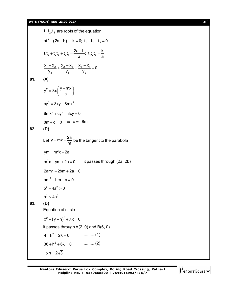$t_1, t_2, t_3$  are roots of the equation  $at^3 + (2a - h)t - k = 0; t_1 + t_2 + t_3 = 0$  $t_1t_2 + t_2t_3 + t_3t_1 = \frac{2a-h}{2}$ ;  $t_1t_2t_3 = \frac{k}{2}$ a <sup>a</sup> a + t<sub>2</sub>t<sub>3</sub> + t<sub>3</sub>t<sub>1</sub> =  $\frac{2a - h}{h}$ ; t<sub>1</sub>t<sub>2</sub>t<sub>3</sub> =  $\frac{1}{h}$  $1 - \frac{1}{2} + \frac{1}{2} - \frac{1}{3} + \frac{1}{3} - \frac{1}{1}$ 3  $y_1$   $y_2$  $\frac{x_1 - x_2}{x_1 + \frac{x_2 - x_3}{x_2 + \frac{x_3 - x_1}{x_3}} = 0$  $y_3$   $y_1$   $y_2$  $\frac{-x_2}{2} + \frac{x_2 - x_3}{2} + \frac{x_3 - x_1}{2} = 0$ **81. (A)**  $y^2 = 8x \left( \frac{y - mx}{x} \right)$ c  $=8x\left(\frac{y-mx}{c}\right)$  $cv^2 = 8xy - 8mx^2$  $8mx^2 + cy^2 - 8xy = 0$  $8m + c = 0 \Rightarrow c = -8m$ **82. (D)** Let  $y = mx + \frac{2a}{2}$  $= mx + \frac{2a}{m}$  be the tangent to the parabola  $\mathsf{ym} = \mathsf{m}^2 \mathsf{x} + 2 \mathsf{a}$  $m<sup>2</sup>x - ym + 2a = 0$  it passes through (2a, 2b)  $2am^2 - 2bm + 2a = 0$  $am^2 - bm + a = 0$  $b^2 - 4a^2 > 0$  $h^2 > 4a^2$ **83. (D)** Equation of circle  $x^2 + (y - h)^2 + \lambda x = 0$ it passes through A(2, 0) and B(6, 0)  $4 + h^2 + 2\lambda = 0$  .......... (1)  $36 + h^2 + 6\lambda = 0$  .......... (2)  $\Rightarrow$  h = 2 $\sqrt{3}$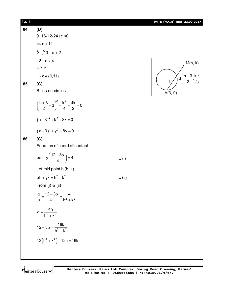| 22 ] |                                                                    |       | WT-8 (MAIN) RBA_23.09.2017                |
|------|--------------------------------------------------------------------|-------|-------------------------------------------|
| 84.  | (D)                                                                |       |                                           |
|      | $9+16-12-24+c < 0$                                                 |       |                                           |
|      | $\Rightarrow$ c < 11                                               |       |                                           |
|      | & $\sqrt{13-c}$ < 2                                                |       |                                           |
|      | $13 - c < 4$                                                       |       | M(h, k)                                   |
|      | c > 9                                                              |       |                                           |
|      | $\Rightarrow$ c $\in$ (9,11)                                       |       | $B\left(\frac{h+3}{2},\frac{k}{2}\right)$ |
| 85.  | (C)                                                                |       |                                           |
|      | B lies on circles                                                  |       | A(3, 0)                                   |
|      | $\left(\frac{h+3}{2}-3\right)^2+\frac{k^2}{4}+\frac{4k}{2}=0$      |       |                                           |
|      | $(h-3)^{2} + k^{2} + 8k = 0$                                       |       |                                           |
|      | $(x-3)^{2} + y^{2} + 8y = 0$                                       |       |                                           |
| 86.  | (C)                                                                |       |                                           |
|      | Equation of chord of contact                                       |       |                                           |
|      | $x\alpha + y\left(\frac{12-3\alpha}{4}\right) = 4$                 | $(i)$ |                                           |
|      | Let mid point $b(h, k)$                                            |       |                                           |
|      | $xh + yk = h^2 + k^2$                                              | (ii)  |                                           |
|      | From $(i)$ & $(ii)$                                                |       |                                           |
|      | $\frac{\alpha}{h} = \frac{12 - 3\alpha}{4k} = \frac{4}{h^2 + k^2}$ |       |                                           |
|      | $\alpha = \frac{4h}{h^2 + k^2}$                                    |       |                                           |
|      | $12 - 3\alpha = \frac{16k}{h^2 + k^2}$                             |       |                                           |
|      | $12(h^2 + k^2) - 12h = 16k$                                        |       |                                           |
|      |                                                                    |       |                                           |
|      |                                                                    |       |                                           |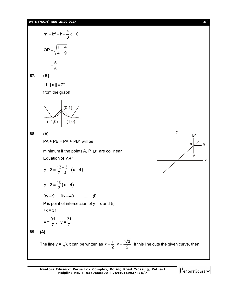

Mentors Eduserv

B

x